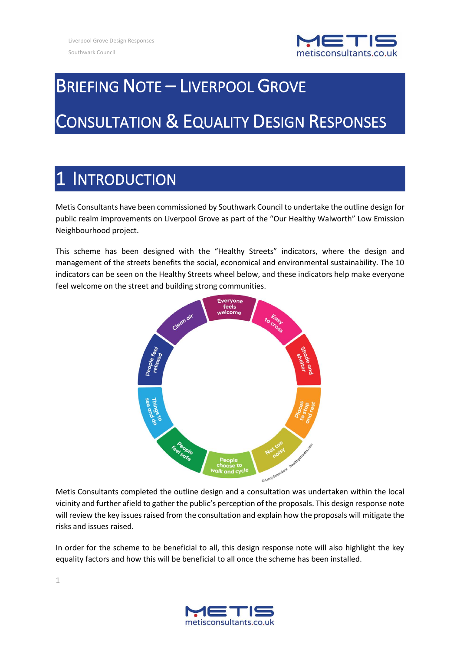

# BRIEFING NOTE – LIVERPOOL GROVE CONSULTATION & EQUALITY DESIGN RESPONSES

# **INTRODUCTION**

Metis Consultants have been commissioned by Southwark Council to undertake the outline design for public realm improvements on Liverpool Grove as part of the "Our Healthy Walworth" Low Emission Neighbourhood project.

This scheme has been designed with the "Healthy Streets" indicators, where the design and management of the streets benefits the social, economical and environmental sustainability. The 10 indicators can be seen on the Healthy Streets wheel below, and these indicators help make everyone feel welcome on the street and building strong communities.



Metis Consultants completed the outline design and a consultation was undertaken within the local vicinity and further afield to gather the public's perception of the proposals. This design response note will review the key issues raised from the consultation and explain how the proposals will mitigate the risks and issues raised.

In order for the scheme to be beneficial to all, this design response note will also highlight the key equality factors and how this will be beneficial to all once the scheme has been installed.

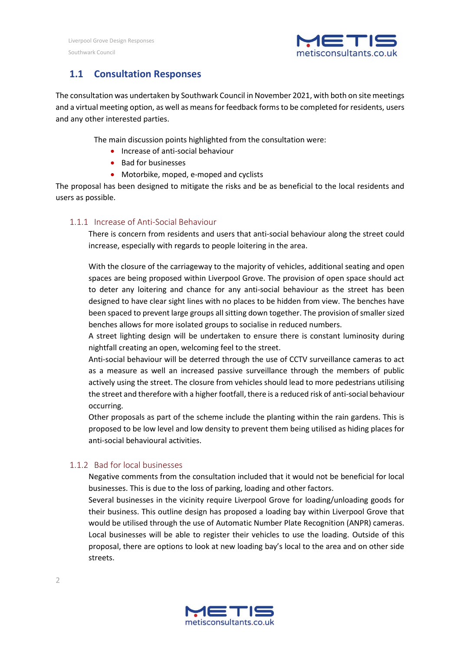

## **1.1 Consultation Responses**

The consultation was undertaken by Southwark Council in November 2021, with both on site meetings and a virtual meeting option, as well as means for feedback forms to be completed for residents, users and any other interested parties.

The main discussion points highlighted from the consultation were:

- Increase of anti-social behaviour
- Bad for businesses
- Motorbike, moped, e-moped and cyclists

The proposal has been designed to mitigate the risks and be as beneficial to the local residents and users as possible.

#### 1.1.1 Increase of Anti-Social Behaviour

There is concern from residents and users that anti-social behaviour along the street could increase, especially with regards to people loitering in the area.

With the closure of the carriageway to the majority of vehicles, additional seating and open spaces are being proposed within Liverpool Grove. The provision of open space should act to deter any loitering and chance for any anti-social behaviour as the street has been designed to have clear sight lines with no places to be hidden from view. The benches have been spaced to prevent large groups all sitting down together. The provision of smaller sized benches allows for more isolated groups to socialise in reduced numbers.

A street lighting design will be undertaken to ensure there is constant luminosity during nightfall creating an open, welcoming feel to the street.

Anti-social behaviour will be deterred through the use of CCTV surveillance cameras to act as a measure as well an increased passive surveillance through the members of public actively using the street. The closure from vehicles should lead to more pedestrians utilising the street and therefore with a higher footfall, there is a reduced risk of anti-social behaviour occurring.

Other proposals as part of the scheme include the planting within the rain gardens. This is proposed to be low level and low density to prevent them being utilised as hiding places for anti-social behavioural activities.

#### 1.1.2 Bad for local businesses

Negative comments from the consultation included that it would not be beneficial for local businesses. This is due to the loss of parking, loading and other factors.

Several businesses in the vicinity require Liverpool Grove for loading/unloading goods for their business. This outline design has proposed a loading bay within Liverpool Grove that would be utilised through the use of Automatic Number Plate Recognition (ANPR) cameras. Local businesses will be able to register their vehicles to use the loading. Outside of this proposal, there are options to look at new loading bay's local to the area and on other side streets.

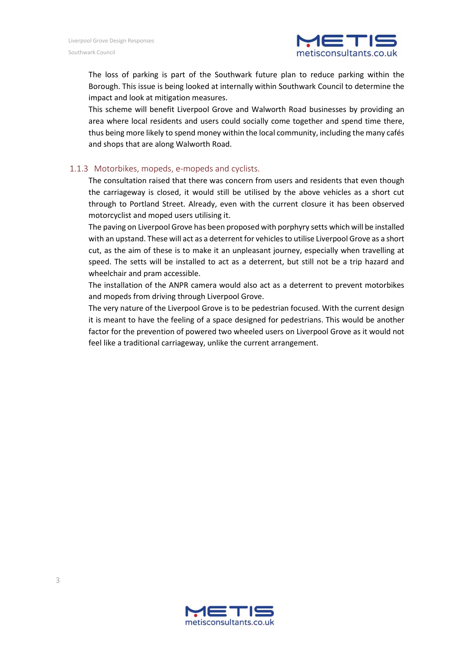

The loss of parking is part of the Southwark future plan to reduce parking within the Borough. This issue is being looked at internally within Southwark Council to determine the impact and look at mitigation measures.

This scheme will benefit Liverpool Grove and Walworth Road businesses by providing an area where local residents and users could socially come together and spend time there, thus being more likely to spend money within the local community, including the many cafés and shops that are along Walworth Road.

#### 1.1.3 Motorbikes, mopeds, e-mopeds and cyclists.

The consultation raised that there was concern from users and residents that even though the carriageway is closed, it would still be utilised by the above vehicles as a short cut through to Portland Street. Already, even with the current closure it has been observed motorcyclist and moped users utilising it.

The paving on Liverpool Grove has been proposed with porphyry setts which will be installed with an upstand. These will act as a deterrent for vehicles to utilise Liverpool Grove as a short cut, as the aim of these is to make it an unpleasant journey, especially when travelling at speed. The setts will be installed to act as a deterrent, but still not be a trip hazard and wheelchair and pram accessible.

The installation of the ANPR camera would also act as a deterrent to prevent motorbikes and mopeds from driving through Liverpool Grove.

The very nature of the Liverpool Grove is to be pedestrian focused. With the current design it is meant to have the feeling of a space designed for pedestrians. This would be another factor for the prevention of powered two wheeled users on Liverpool Grove as it would not feel like a traditional carriageway, unlike the current arrangement.

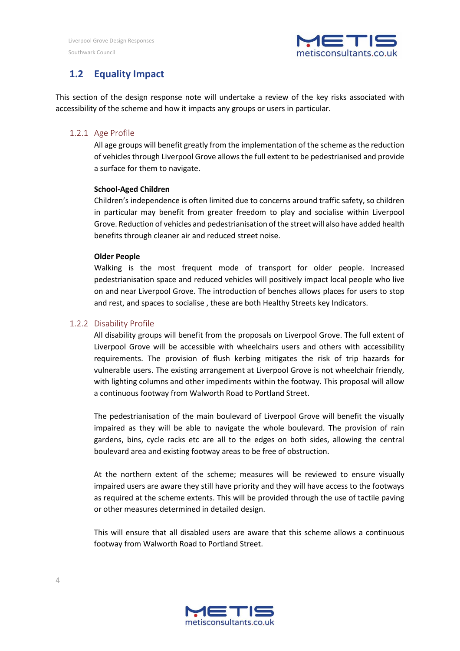

## **1.2 Equality Impact**

This section of the design response note will undertake a review of the key risks associated with accessibility of the scheme and how it impacts any groups or users in particular.

#### 1.2.1 Age Profile

All age groups will benefit greatly from the implementation of the scheme as the reduction of vehicles through Liverpool Grove allows the full extent to be pedestrianised and provide a surface for them to navigate.

#### **School-Aged Children**

Children's independence is often limited due to concerns around traffic safety, so children in particular may benefit from greater freedom to play and socialise within Liverpool Grove. Reduction of vehicles and pedestrianisation of the street will also have added health benefits through cleaner air and reduced street noise.

#### **Older People**

Walking is the most frequent mode of transport for older people. Increased pedestrianisation space and reduced vehicles will positively impact local people who live on and near Liverpool Grove. The introduction of benches allows places for users to stop and rest, and spaces to socialise , these are both Healthy Streets key Indicators.

#### 1.2.2 Disability Profile

All disability groups will benefit from the proposals on Liverpool Grove. The full extent of Liverpool Grove will be accessible with wheelchairs users and others with accessibility requirements. The provision of flush kerbing mitigates the risk of trip hazards for vulnerable users. The existing arrangement at Liverpool Grove is not wheelchair friendly, with lighting columns and other impediments within the footway. This proposal will allow a continuous footway from Walworth Road to Portland Street.

The pedestrianisation of the main boulevard of Liverpool Grove will benefit the visually impaired as they will be able to navigate the whole boulevard. The provision of rain gardens, bins, cycle racks etc are all to the edges on both sides, allowing the central boulevard area and existing footway areas to be free of obstruction.

At the northern extent of the scheme; measures will be reviewed to ensure visually impaired users are aware they still have priority and they will have access to the footways as required at the scheme extents. This will be provided through the use of tactile paving or other measures determined in detailed design.

This will ensure that all disabled users are aware that this scheme allows a continuous footway from Walworth Road to Portland Street.